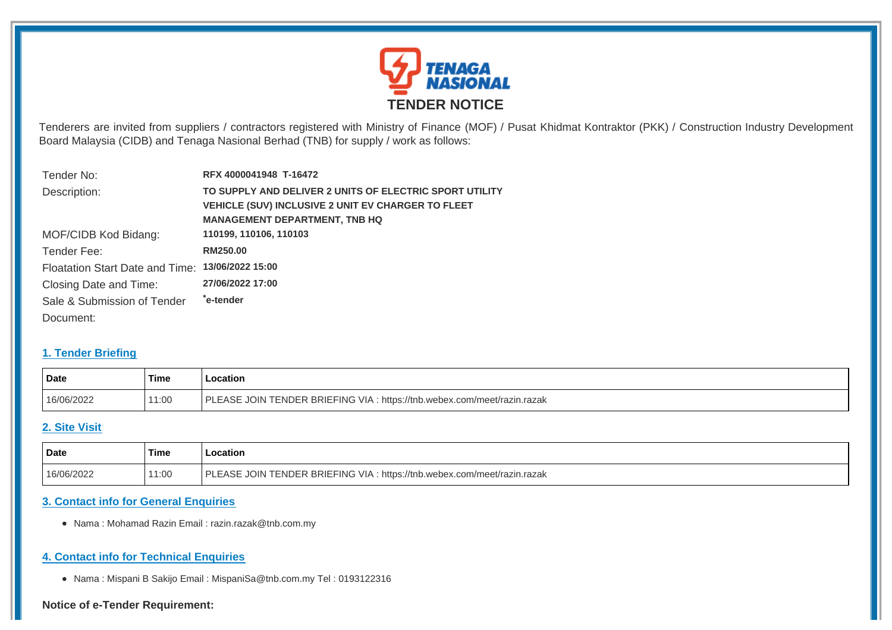

Tenderers are invited from suppliers / contractors registered with Ministry of Finance (MOF) / Pusat Khidmat Kontraktor (PKK) / Construction Industry Development Board Malaysia (CIDB) and Tenaga Nasional Berhad (TNB) for supply / work as follows:

| Tender No:                                       | RFX 4000041948 T-16472                                  |
|--------------------------------------------------|---------------------------------------------------------|
| Description:                                     | TO SUPPLY AND DELIVER 2 UNITS OF ELECTRIC SPORT UTILITY |
|                                                  | VEHICLE (SUV) INCLUSIVE 2 UNIT EV CHARGER TO FLEET      |
|                                                  | <b>MANAGEMENT DEPARTMENT, TNB HQ</b>                    |
| MOF/CIDB Kod Bidang:                             | 110199, 110106, 110103                                  |
| Tender Fee:                                      | RM250.00                                                |
| Floatation Start Date and Time: 13/06/2022 15:00 |                                                         |
| Closing Date and Time:                           | 27/06/2022 17:00                                        |
| Sale & Submission of Tender                      | ê-tender*                                               |
| Document:                                        |                                                         |

### **1. Tender Briefing**

| Date       | Time | ocation                                                                  |
|------------|------|--------------------------------------------------------------------------|
| 16/06/2022 | 1:00 | PLEASE JOIN TENDER BRIEFING VIA : https://tnb.webex.com/meet/razin.razak |

## **2. Site Visit**

| Date       | `Time | Location                                                                                                              |
|------------|-------|-----------------------------------------------------------------------------------------------------------------------|
| 16/06/2022 | 11:00 | N TENDER BRIEFING VIA :<br>וס<br><b>FASE</b><br>$\sim$ 101N $\sim$<br>: https://tnb.webex.com/meet/razin.razak<br>JU. |

# **3. Contact info for General Enquiries**

Nama : Mohamad Razin Email : razin.razak@tnb.com.my

## **4. Contact info for Technical Enquiries**

Nama : Mispani B Sakijo Email : MispaniSa@tnb.com.my Tel : 0193122316

#### **Notice of e-Tender Requirement:**